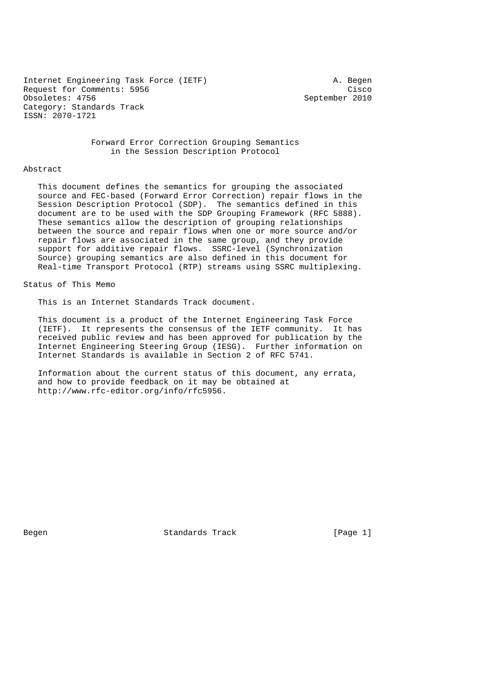Internet Engineering Task Force (IETF) A. Begen Request for Comments: 5956 Cisco<br>
Obsoletes: 4756 Cisco<br>
September 2010 Obsoletes: 4756 Category: Standards Track ISSN: 2070-1721

 Forward Error Correction Grouping Semantics in the Session Description Protocol

#### Abstract

 This document defines the semantics for grouping the associated source and FEC-based (Forward Error Correction) repair flows in the Session Description Protocol (SDP). The semantics defined in this document are to be used with the SDP Grouping Framework (RFC 5888). These semantics allow the description of grouping relationships between the source and repair flows when one or more source and/or repair flows are associated in the same group, and they provide support for additive repair flows. SSRC-level (Synchronization Source) grouping semantics are also defined in this document for Real-time Transport Protocol (RTP) streams using SSRC multiplexing.

# Status of This Memo

This is an Internet Standards Track document.

 This document is a product of the Internet Engineering Task Force (IETF). It represents the consensus of the IETF community. It has received public review and has been approved for publication by the Internet Engineering Steering Group (IESG). Further information on Internet Standards is available in Section 2 of RFC 5741.

 Information about the current status of this document, any errata, and how to provide feedback on it may be obtained at http://www.rfc-editor.org/info/rfc5956.

Begen Standards Track [Page 1]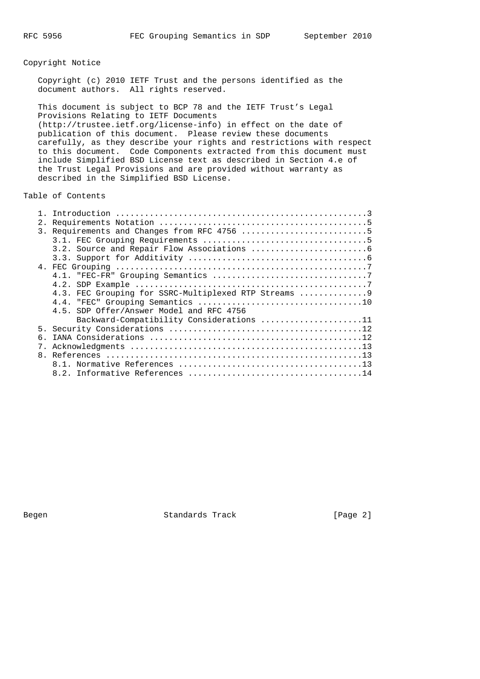# Copyright Notice

 Copyright (c) 2010 IETF Trust and the persons identified as the document authors. All rights reserved.

 This document is subject to BCP 78 and the IETF Trust's Legal Provisions Relating to IETF Documents (http://trustee.ietf.org/license-info) in effect on the date of publication of this document. Please review these documents carefully, as they describe your rights and restrictions with respect to this document. Code Components extracted from this document must include Simplified BSD License text as described in Section 4.e of the Trust Legal Provisions and are provided without warranty as described in the Simplified BSD License.

Table of Contents

|    | 3. Requirements and Changes from RFC 4756 5           |
|----|-------------------------------------------------------|
|    |                                                       |
|    |                                                       |
|    |                                                       |
|    |                                                       |
|    |                                                       |
|    |                                                       |
|    | 4.3. FEC Grouping for SSRC-Multiplexed RTP Streams  9 |
|    |                                                       |
|    | 4.5. SDP Offer/Answer Model and RFC 4756              |
|    | Backward-Compatibility Considerations 11              |
|    |                                                       |
| б. |                                                       |
|    |                                                       |
|    |                                                       |
|    |                                                       |
|    |                                                       |
|    |                                                       |

Begen Standards Track [Page 2]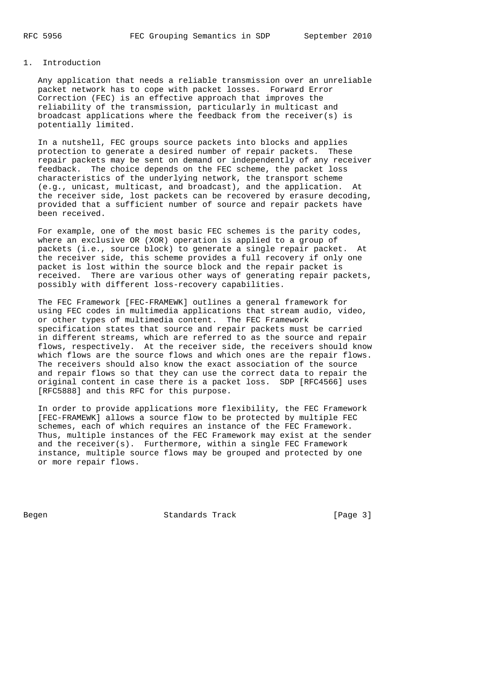# 1. Introduction

 Any application that needs a reliable transmission over an unreliable packet network has to cope with packet losses. Forward Error Correction (FEC) is an effective approach that improves the reliability of the transmission, particularly in multicast and broadcast applications where the feedback from the receiver(s) is potentially limited.

 In a nutshell, FEC groups source packets into blocks and applies protection to generate a desired number of repair packets. These repair packets may be sent on demand or independently of any receiver feedback. The choice depends on the FEC scheme, the packet loss characteristics of the underlying network, the transport scheme (e.g., unicast, multicast, and broadcast), and the application. At the receiver side, lost packets can be recovered by erasure decoding, provided that a sufficient number of source and repair packets have been received.

 For example, one of the most basic FEC schemes is the parity codes, where an exclusive OR (XOR) operation is applied to a group of packets (i.e., source block) to generate a single repair packet. At the receiver side, this scheme provides a full recovery if only one packet is lost within the source block and the repair packet is received. There are various other ways of generating repair packets, possibly with different loss-recovery capabilities.

 The FEC Framework [FEC-FRAMEWK] outlines a general framework for using FEC codes in multimedia applications that stream audio, video, or other types of multimedia content. The FEC Framework specification states that source and repair packets must be carried in different streams, which are referred to as the source and repair flows, respectively. At the receiver side, the receivers should know which flows are the source flows and which ones are the repair flows. The receivers should also know the exact association of the source and repair flows so that they can use the correct data to repair the original content in case there is a packet loss. SDP [RFC4566] uses [RFC5888] and this RFC for this purpose.

 In order to provide applications more flexibility, the FEC Framework [FEC-FRAMEWK] allows a source flow to be protected by multiple FEC schemes, each of which requires an instance of the FEC Framework. Thus, multiple instances of the FEC Framework may exist at the sender and the receiver(s). Furthermore, within a single FEC Framework instance, multiple source flows may be grouped and protected by one or more repair flows.

Begen Standards Track [Page 3]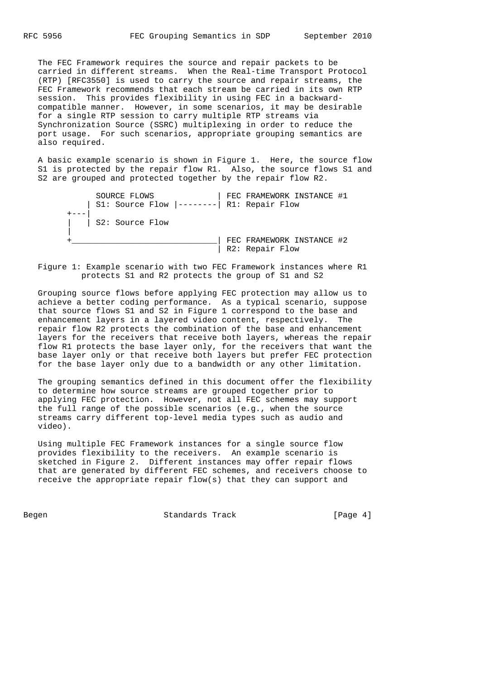The FEC Framework requires the source and repair packets to be carried in different streams. When the Real-time Transport Protocol (RTP) [RFC3550] is used to carry the source and repair streams, the FEC Framework recommends that each stream be carried in its own RTP session. This provides flexibility in using FEC in a backward compatible manner. However, in some scenarios, it may be desirable for a single RTP session to carry multiple RTP streams via Synchronization Source (SSRC) multiplexing in order to reduce the port usage. For such scenarios, appropriate grouping semantics are also required.

 A basic example scenario is shown in Figure 1. Here, the source flow S1 is protected by the repair flow R1. Also, the source flows S1 and S2 are grouped and protected together by the repair flow R2.

 SOURCE FLOWS | FEC FRAMEWORK INSTANCE #1 | S1: Source Flow |--------| R1: Repair Flow  $+--$  | | S2: Source Flow | +\_\_\_\_\_\_\_\_\_\_\_\_\_\_\_\_\_\_\_\_\_\_\_\_\_\_\_\_\_\_| FEC FRAMEWORK INSTANCE #2

| R2: Repair Flow

 Figure 1: Example scenario with two FEC Framework instances where R1 protects S1 and R2 protects the group of S1 and S2

 Grouping source flows before applying FEC protection may allow us to achieve a better coding performance. As a typical scenario, suppose that source flows S1 and S2 in Figure 1 correspond to the base and enhancement layers in a layered video content, respectively. The repair flow R2 protects the combination of the base and enhancement layers for the receivers that receive both layers, whereas the repair flow R1 protects the base layer only, for the receivers that want the base layer only or that receive both layers but prefer FEC protection for the base layer only due to a bandwidth or any other limitation.

 The grouping semantics defined in this document offer the flexibility to determine how source streams are grouped together prior to applying FEC protection. However, not all FEC schemes may support the full range of the possible scenarios (e.g., when the source streams carry different top-level media types such as audio and video).

 Using multiple FEC Framework instances for a single source flow provides flexibility to the receivers. An example scenario is sketched in Figure 2. Different instances may offer repair flows that are generated by different FEC schemes, and receivers choose to receive the appropriate repair flow(s) that they can support and

Begen Begen Standards Track [Page 4]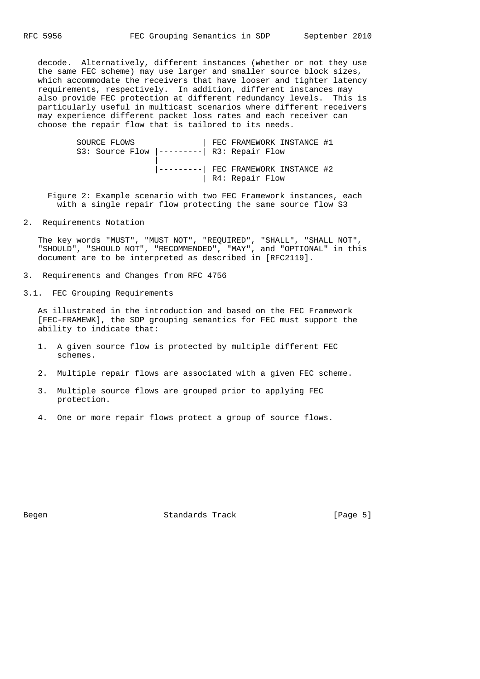decode. Alternatively, different instances (whether or not they use the same FEC scheme) may use larger and smaller source block sizes, which accommodate the receivers that have looser and tighter latency requirements, respectively. In addition, different instances may also provide FEC protection at different redundancy levels. This is particularly useful in multicast scenarios where different receivers may experience different packet loss rates and each receiver can choose the repair flow that is tailored to its needs.

 SOURCE FLOWS | FEC FRAMEWORK INSTANCE #1 S3: Source Flow |---------| R3: Repair Flow | |---------| FEC FRAMEWORK INSTANCE #2 | R4: Repair Flow

 Figure 2: Example scenario with two FEC Framework instances, each with a single repair flow protecting the same source flow S3

2. Requirements Notation

 The key words "MUST", "MUST NOT", "REQUIRED", "SHALL", "SHALL NOT", "SHOULD", "SHOULD NOT", "RECOMMENDED", "MAY", and "OPTIONAL" in this document are to be interpreted as described in [RFC2119].

- 3. Requirements and Changes from RFC 4756
- 3.1. FEC Grouping Requirements

 As illustrated in the introduction and based on the FEC Framework [FEC-FRAMEWK], the SDP grouping semantics for FEC must support the ability to indicate that:

- 1. A given source flow is protected by multiple different FEC schemes.
- 2. Multiple repair flows are associated with a given FEC scheme.
- 3. Multiple source flows are grouped prior to applying FEC protection.
- 4. One or more repair flows protect a group of source flows.

Begen Standards Track [Page 5]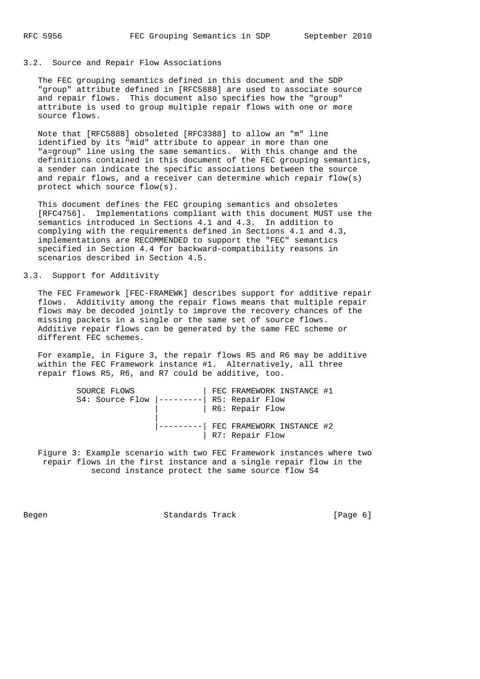### 3.2. Source and Repair Flow Associations

 The FEC grouping semantics defined in this document and the SDP "group" attribute defined in [RFC5888] are used to associate source and repair flows. This document also specifies how the "group" attribute is used to group multiple repair flows with one or more source flows.

 Note that [RFC5888] obsoleted [RFC3388] to allow an "m" line identified by its "mid" attribute to appear in more than one "a=group" line using the same semantics. With this change and the definitions contained in this document of the FEC grouping semantics, a sender can indicate the specific associations between the source and repair flows, and a receiver can determine which repair flow(s) protect which source flow(s).

 This document defines the FEC grouping semantics and obsoletes [RFC4756]. Implementations compliant with this document MUST use the semantics introduced in Sections 4.1 and 4.3. In addition to complying with the requirements defined in Sections 4.1 and 4.3, implementations are RECOMMENDED to support the "FEC" semantics specified in Section 4.4 for backward-compatibility reasons in scenarios described in Section 4.5.

### 3.3. Support for Additivity

 The FEC Framework [FEC-FRAMEWK] describes support for additive repair flows. Additivity among the repair flows means that multiple repair flows may be decoded jointly to improve the recovery chances of the missing packets in a single or the same set of source flows. Additive repair flows can be generated by the same FEC scheme or different FEC schemes.

 For example, in Figure 3, the repair flows R5 and R6 may be additive within the FEC Framework instance #1. Alternatively, all three repair flows R5, R6, and R7 could be additive, too.

| SOURCE FLOWS    |  | FEC FRAMEWORK INSTANCE #1    |  |
|-----------------|--|------------------------------|--|
| S4: Source Flow |  | R5: Repair Flow              |  |
|                 |  | R6: Repair Flow              |  |
|                 |  |                              |  |
|                 |  | -- FEC FRAMEWORK INSTANCE #2 |  |
|                 |  | R7: Repair Flow              |  |

 Figure 3: Example scenario with two FEC Framework instances where two repair flows in the first instance and a single repair flow in the second instance protect the same source flow S4

Begen Standards Track [Page 6]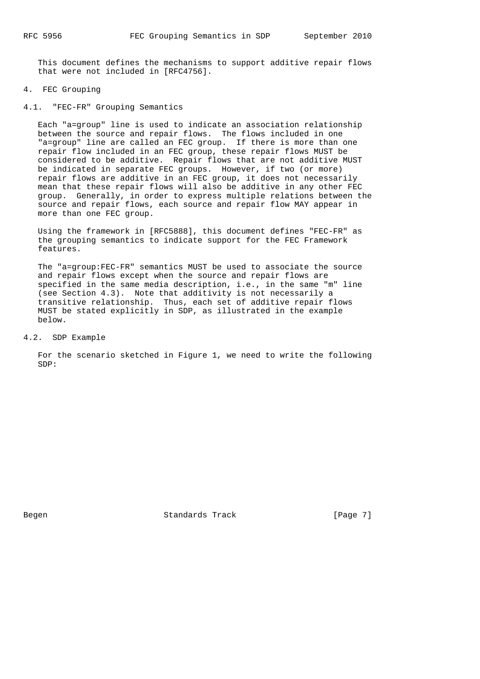This document defines the mechanisms to support additive repair flows that were not included in [RFC4756].

#### 4. FEC Grouping

4.1. "FEC-FR" Grouping Semantics

 Each "a=group" line is used to indicate an association relationship between the source and repair flows. The flows included in one "a=group" line are called an FEC group. If there is more than one repair flow included in an FEC group, these repair flows MUST be considered to be additive. Repair flows that are not additive MUST be indicated in separate FEC groups. However, if two (or more) repair flows are additive in an FEC group, it does not necessarily mean that these repair flows will also be additive in any other FEC group. Generally, in order to express multiple relations between the source and repair flows, each source and repair flow MAY appear in more than one FEC group.

 Using the framework in [RFC5888], this document defines "FEC-FR" as the grouping semantics to indicate support for the FEC Framework features.

 The "a=group:FEC-FR" semantics MUST be used to associate the source and repair flows except when the source and repair flows are specified in the same media description, i.e., in the same "m" line (see Section 4.3). Note that additivity is not necessarily a transitive relationship. Thus, each set of additive repair flows MUST be stated explicitly in SDP, as illustrated in the example below.

4.2. SDP Example

 For the scenario sketched in Figure 1, we need to write the following SDP:

Begen Standards Track [Page 7]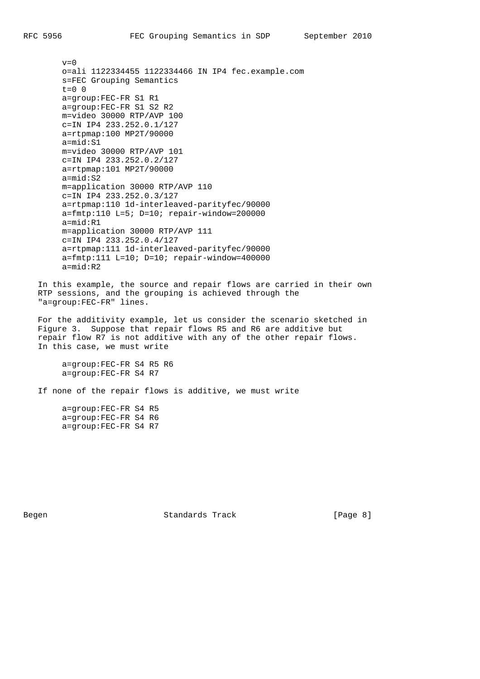$v=0$  o=ali 1122334455 1122334466 IN IP4 fec.example.com s=FEC Grouping Semantics  $t=0$  0 a=group:FEC-FR S1 R1 a=group:FEC-FR S1 S2 R2 m=video 30000 RTP/AVP 100 c=IN IP4 233.252.0.1/127 a=rtpmap:100 MP2T/90000 a=mid:S1 m=video 30000 RTP/AVP 101 c=IN IP4 233.252.0.2/127 a=rtpmap:101 MP2T/90000 a=mid:S2 m=application 30000 RTP/AVP 110 c=IN IP4 233.252.0.3/127 a=rtpmap:110 1d-interleaved-parityfec/90000  $a=fmtp:110 L=5; D=10; repair-window=200000$  a=mid:R1 m=application 30000 RTP/AVP 111 c=IN IP4 233.252.0.4/127 a=rtpmap:111 1d-interleaved-parityfec/90000  $a=fmtp:111 L=10; D=10; repair-window=400000$ a=mid:R2

 In this example, the source and repair flows are carried in their own RTP sessions, and the grouping is achieved through the "a=group:FEC-FR" lines.

 For the additivity example, let us consider the scenario sketched in Figure 3. Suppose that repair flows R5 and R6 are additive but repair flow R7 is not additive with any of the other repair flows. In this case, we must write

 a=group:FEC-FR S4 R5 R6 a=group:FEC-FR S4 R7

If none of the repair flows is additive, we must write

 a=group:FEC-FR S4 R5 a=group:FEC-FR S4 R6 a=group:FEC-FR S4 R7

Begen Standards Track [Page 8]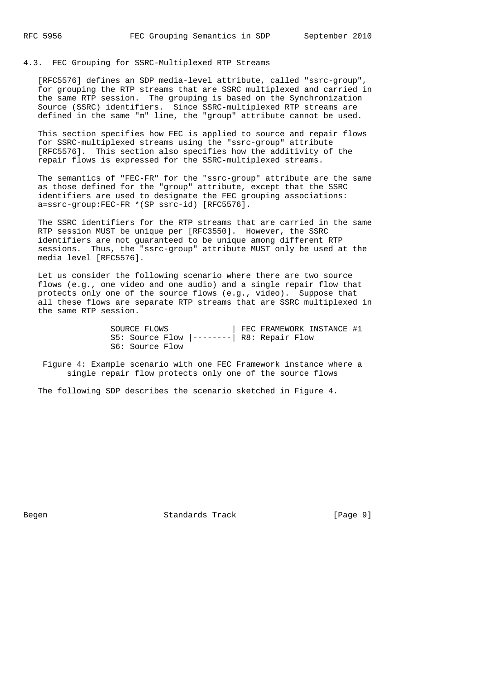# 4.3. FEC Grouping for SSRC-Multiplexed RTP Streams

 [RFC5576] defines an SDP media-level attribute, called "ssrc-group", for grouping the RTP streams that are SSRC multiplexed and carried in the same RTP session. The grouping is based on the Synchronization Source (SSRC) identifiers. Since SSRC-multiplexed RTP streams are defined in the same "m" line, the "group" attribute cannot be used.

 This section specifies how FEC is applied to source and repair flows for SSRC-multiplexed streams using the "ssrc-group" attribute [RFC5576]. This section also specifies how the additivity of the repair flows is expressed for the SSRC-multiplexed streams.

 The semantics of "FEC-FR" for the "ssrc-group" attribute are the same as those defined for the "group" attribute, except that the SSRC identifiers are used to designate the FEC grouping associations: a=ssrc-group:FEC-FR \*(SP ssrc-id) [RFC5576].

 The SSRC identifiers for the RTP streams that are carried in the same RTP session MUST be unique per [RFC3550]. However, the SSRC identifiers are not guaranteed to be unique among different RTP sessions. Thus, the "ssrc-group" attribute MUST only be used at the media level [RFC5576].

 Let us consider the following scenario where there are two source flows (e.g., one video and one audio) and a single repair flow that protects only one of the source flows (e.g., video). Suppose that all these flows are separate RTP streams that are SSRC multiplexed in the same RTP session.

> SOURCE FLOWS | FEC FRAMEWORK INSTANCE #1 S5: Source Flow |--------| R8: Repair Flow S6: Source Flow

 Figure 4: Example scenario with one FEC Framework instance where a single repair flow protects only one of the source flows

The following SDP describes the scenario sketched in Figure 4.

Begen Standards Track [Page 9]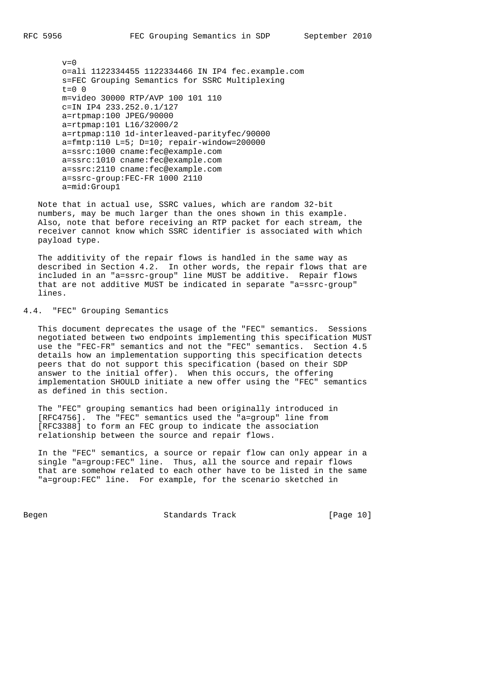$v=0$  o=ali 1122334455 1122334466 IN IP4 fec.example.com s=FEC Grouping Semantics for SSRC Multiplexing  $t=0$  0 m=video 30000 RTP/AVP 100 101 110 c=IN IP4 233.252.0.1/127 a=rtpmap:100 JPEG/90000 a=rtpmap:101 L16/32000/2 a=rtpmap:110 1d-interleaved-parityfec/90000  $a=fmtp:110 L=5; D=10; repair-window=200000$  a=ssrc:1000 cname:fec@example.com a=ssrc:1010 cname:fec@example.com a=ssrc:2110 cname:fec@example.com a=ssrc-group:FEC-FR 1000 2110 a=mid:Group1

 Note that in actual use, SSRC values, which are random 32-bit numbers, may be much larger than the ones shown in this example. Also, note that before receiving an RTP packet for each stream, the receiver cannot know which SSRC identifier is associated with which payload type.

 The additivity of the repair flows is handled in the same way as described in Section 4.2. In other words, the repair flows that are included in an "a=ssrc-group" line MUST be additive. Repair flows that are not additive MUST be indicated in separate "a=ssrc-group" lines.

## 4.4. "FEC" Grouping Semantics

 This document deprecates the usage of the "FEC" semantics. Sessions negotiated between two endpoints implementing this specification MUST use the "FEC-FR" semantics and not the "FEC" semantics. Section 4.5 details how an implementation supporting this specification detects peers that do not support this specification (based on their SDP answer to the initial offer). When this occurs, the offering implementation SHOULD initiate a new offer using the "FEC" semantics as defined in this section.

 The "FEC" grouping semantics had been originally introduced in [RFC4756]. The "FEC" semantics used the "a=group" line from [RFC3388] to form an FEC group to indicate the association relationship between the source and repair flows.

 In the "FEC" semantics, a source or repair flow can only appear in a single "a=group:FEC" line. Thus, all the source and repair flows that are somehow related to each other have to be listed in the same "a=group:FEC" line. For example, for the scenario sketched in

Begen Standards Track [Page 10]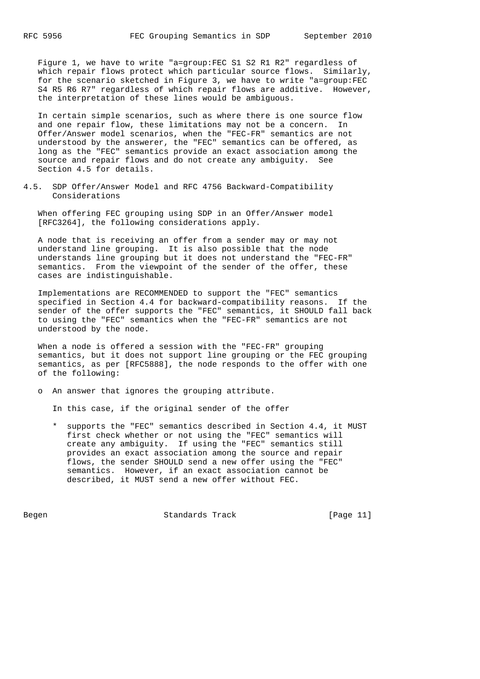Figure 1, we have to write "a=group:FEC S1 S2 R1 R2" regardless of which repair flows protect which particular source flows. Similarly, for the scenario sketched in Figure 3, we have to write "a=group:FEC S4 R5 R6 R7" regardless of which repair flows are additive. However, the interpretation of these lines would be ambiguous.

 In certain simple scenarios, such as where there is one source flow and one repair flow, these limitations may not be a concern. In Offer/Answer model scenarios, when the "FEC-FR" semantics are not understood by the answerer, the "FEC" semantics can be offered, as long as the "FEC" semantics provide an exact association among the source and repair flows and do not create any ambiguity. See Section 4.5 for details.

4.5. SDP Offer/Answer Model and RFC 4756 Backward-Compatibility Considerations

 When offering FEC grouping using SDP in an Offer/Answer model [RFC3264], the following considerations apply.

 A node that is receiving an offer from a sender may or may not understand line grouping. It is also possible that the node understands line grouping but it does not understand the "FEC-FR" semantics. From the viewpoint of the sender of the offer, these cases are indistinguishable.

 Implementations are RECOMMENDED to support the "FEC" semantics specified in Section 4.4 for backward-compatibility reasons. If the sender of the offer supports the "FEC" semantics, it SHOULD fall back to using the "FEC" semantics when the "FEC-FR" semantics are not understood by the node.

 When a node is offered a session with the "FEC-FR" grouping semantics, but it does not support line grouping or the FEC grouping semantics, as per [RFC5888], the node responds to the offer with one of the following:

o An answer that ignores the grouping attribute.

In this case, if the original sender of the offer

 \* supports the "FEC" semantics described in Section 4.4, it MUST first check whether or not using the "FEC" semantics will create any ambiguity. If using the "FEC" semantics still provides an exact association among the source and repair flows, the sender SHOULD send a new offer using the "FEC" semantics. However, if an exact association cannot be described, it MUST send a new offer without FEC.

Begen Standards Track [Page 11]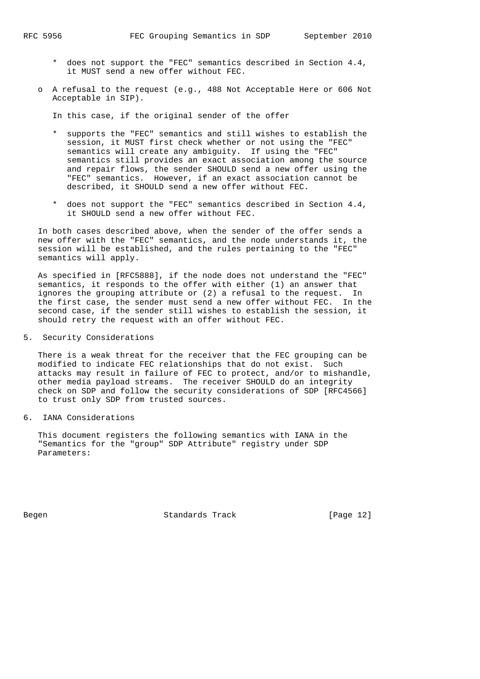- \* does not support the "FEC" semantics described in Section 4.4, it MUST send a new offer without FEC.
- o A refusal to the request (e.g., 488 Not Acceptable Here or 606 Not Acceptable in SIP).

In this case, if the original sender of the offer

- \* supports the "FEC" semantics and still wishes to establish the session, it MUST first check whether or not using the "FEC" semantics will create any ambiguity. If using the "FEC" semantics still provides an exact association among the source and repair flows, the sender SHOULD send a new offer using the "FEC" semantics. However, if an exact association cannot be described, it SHOULD send a new offer without FEC.
- \* does not support the "FEC" semantics described in Section 4.4, it SHOULD send a new offer without FEC.

 In both cases described above, when the sender of the offer sends a new offer with the "FEC" semantics, and the node understands it, the session will be established, and the rules pertaining to the "FEC" semantics will apply.

 As specified in [RFC5888], if the node does not understand the "FEC" semantics, it responds to the offer with either (1) an answer that ignores the grouping attribute or (2) a refusal to the request. In the first case, the sender must send a new offer without FEC. In the second case, if the sender still wishes to establish the session, it should retry the request with an offer without FEC.

5. Security Considerations

 There is a weak threat for the receiver that the FEC grouping can be modified to indicate FEC relationships that do not exist. Such attacks may result in failure of FEC to protect, and/or to mishandle, other media payload streams. The receiver SHOULD do an integrity check on SDP and follow the security considerations of SDP [RFC4566] to trust only SDP from trusted sources.

6. IANA Considerations

 This document registers the following semantics with IANA in the "Semantics for the "group" SDP Attribute" registry under SDP Parameters:

Begen Standards Track [Page 12]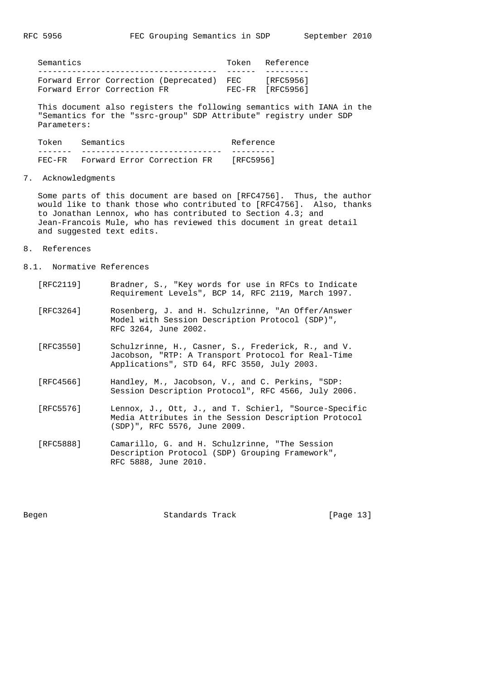| Semantics |                             |                                           | Token Reference  |
|-----------|-----------------------------|-------------------------------------------|------------------|
|           |                             |                                           |                  |
|           |                             | Forward Error Correction (Deprecated) FEC | [RFC5956]        |
|           | Forward Error Correction FR |                                           | FEC-FR [RFC5956] |

 This document also registers the following semantics with IANA in the "Semantics for the "ssrc-group" SDP Attribute" registry under SDP Parameters:

| Token     | Semantics                   | Reference |
|-----------|-----------------------------|-----------|
|           |                             |           |
| $FF.C-FR$ | Forward Error Correction FR | [RFC5956] |

7. Acknowledgments

 Some parts of this document are based on [RFC4756]. Thus, the author would like to thank those who contributed to [RFC4756]. Also, thanks to Jonathan Lennox, who has contributed to Section 4.3; and Jean-Francois Mule, who has reviewed this document in great detail and suggested text edits.

- 8. References
- 8.1. Normative References

| [RFC2119] | Bradner, S., "Key words for use in RFCs to Indicate<br>Requirement Levels", BCP 14, RFC 2119, March 1997.                                               |
|-----------|---------------------------------------------------------------------------------------------------------------------------------------------------------|
| [RFC3264] | Rosenberg, J. and H. Schulzrinne, "An Offer/Answer<br>Model with Session Description Protocol (SDP)",<br>RFC 3264, June 2002.                           |
| [RFC3550] | Schulzrinne, H., Casner, S., Frederick, R., and V.<br>Jacobson, "RTP: A Transport Protocol for Real-Time<br>Applications", STD 64, RFC 3550, July 2003. |
| [RFC4566] | Handley, M., Jacobson, V., and C. Perkins, "SDP:<br>Session Description Protocol", RFC 4566, July 2006.                                                 |
| [RFC5576] | Lennox, J., Ott, J., and T. Schierl, "Source-Specific<br>Media Attributes in the Session Description Protocol<br>(SDP)", RFC 5576, June 2009.           |
|           |                                                                                                                                                         |

 [RFC5888] Camarillo, G. and H. Schulzrinne, "The Session Description Protocol (SDP) Grouping Framework", RFC 5888, June 2010.

Begen Standards Track [Page 13]